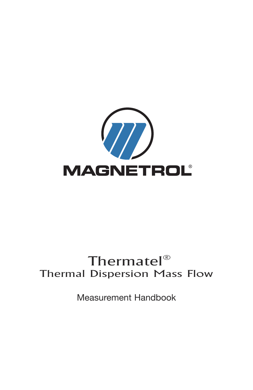

# Thermatel $^{\circledR}$ Thermal Dispersion Mass Flow

Measurement Handbook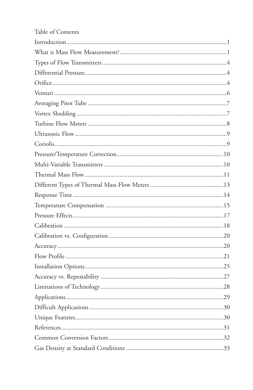| Table of Contents |
|-------------------|
|                   |
|                   |
|                   |
|                   |
|                   |
|                   |
|                   |
|                   |
|                   |
|                   |
|                   |
|                   |
|                   |
|                   |
|                   |
|                   |
|                   |
|                   |
|                   |
|                   |
|                   |
|                   |
|                   |
|                   |
|                   |
|                   |
|                   |
|                   |
|                   |
|                   |
|                   |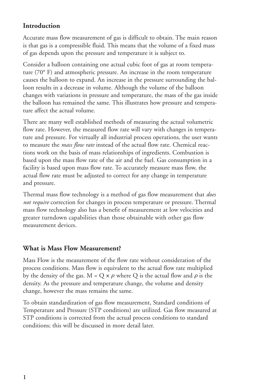#### **Introduction**

Accurate mass flow measurement of gas is difficult to obtain. The main reason is that gas is a compressible fluid. This means that the volume of a fixed mass of gas depends upon the pressure and temperature it is subject to.

Consider a balloon containing one actual cubic foot of gas at room temperature (70° F) and atmospheric pressure. An increase in the room temperature causes the balloon to expand. An increase in the pressure surrounding the balloon results in a decrease in volume. Although the volume of the balloon changes with variations in pressure and temperature, the mass of the gas inside the balloon has remained the same. This illustrates how pressure and temperature affect the actual volume.

There are many well established methods of measuring the actual volumetric flow rate. However, the measured flow rate will vary with changes in temperature and pressure. For virtually all industrial process operations, the user wants to measure the *mass flow rate* instead of the actual flow rate. Chemical reactions work on the basis of mass relationships of ingredients. Combustion is based upon the mass flow rate of the air and the fuel. Gas consumption in a facility is based upon mass flow rate. To accurately measure mass flow, the actual flow rate must be adjusted to correct for any change in temperature and pressure.

Thermal mass flow technology is a method of gas flow measurement that *does not require* correction for changes in process temperature or pressure. Thermal mass flow technology also has a benefit of measurement at low velocities and greater turndown capabilities than those obtainable with other gas flow measurement devices.

#### **What is Mass Flow Measurement?**

Mass Flow is the measurement of the flow rate without consideration of the process conditions. Mass flow is equivalent to the actual flow rate multiplied by the density of the gas. M = Q  $\times \rho$  where Q is the actual flow and  $\rho$  is the density. As the pressure and temperature change, the volume and density change, however the mass remains the same.

To obtain standardization of gas flow measurement, Standard conditions of Temperature and Pressure (STP conditions) are utilized. Gas flow measured at STP conditions is corrected from the actual process conditions to standard conditions; this will be discussed in more detail later.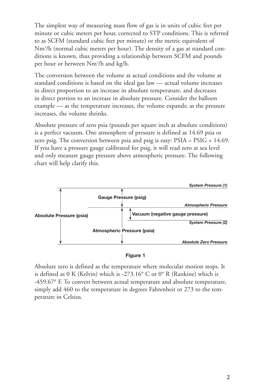The simplest way of measuring mass flow of gas is in units of cubic feet per minute or cubic meters per hour, corrected to STP conditions. This is referred to as SCFM (standard cubic feet per minute) or the metric equivalent of Nm3 /h (normal cubic meters per hour). The density of a gas at standard conditions is known, thus providing a relationship between SCFM and pounds per hour or between Nm3 /h and kg/h.

The conversion between the volume at actual conditions and the volume at standard conditions is based on the ideal gas law — actual volume increases in direct proportion to an increase in absolute temperature, and decreases in direct portion to an increase in absolute pressure. Consider the balloon example — as the temperature increases, the volume expands; as the pressure increases, the volume shrinks.

Absolute pressure of zero psia (pounds per square inch at absolute conditions) is a perfect vacuum. One atmosphere of pressure is defined as 14.69 psia or zero psig. The conversion between psia and psig is easy: PSIA = PSIG + 14.69. If you have a pressure gauge calibrated for psig, it will read zero at sea level and only measure gauge pressure above atmospheric pressure. The following chart will help clarify this.



#### **Figure 1**

Absolute zero is defined as the temperature where molecular motion stops. It is defined as 0 K (Kelvin) which is -273.16° C or 0° R (Rankine) which is -459.67° F. To convert between actual temperature and absolute temperature, simply add 460 to the temperature in degrees Fahrenheit or 273 to the temperature in Celsius.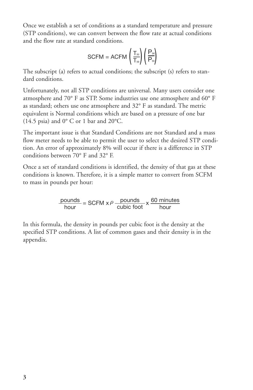Once we establish a set of conditions as a standard temperature and pressure (STP conditions), we can convert between the flow rate at actual conditions and the flow rate at standard conditions.

$$
\text{SCFM} = \text{ACFM}\left(\frac{T_{\text{\tiny{(s)}}}}{T_{\text{\tiny{(a)}}}}\right)\left(\frac{P_{\text{\tiny{(a)}}}}{P_{\text{\tiny{(s)}}}}\right)
$$

The subscript (a) refers to actual conditions; the subscript (s) refers to standard conditions.

Unfortunately, not all STP conditions are universal. Many users consider one atmosphere and 70° F as STP. Some industries use one atmosphere and 60° F as standard; others use one atmosphere and 32° F as standard. The metric equivalent is Normal conditions which are based on a pressure of one bar (14.5 psia) and  $0^{\circ}$  C or 1 bar and 20 $^{\circ}$ C.

The important issue is that Standard Conditions are not Standard and a mass flow meter needs to be able to permit the user to select the desired STP condition. An error of approximately 8% will occur if there is a difference in STP conditions between 70° F and 32° F.

Once a set of standard conditions is identified, the density of that gas at these conditions is known. Therefore, it is a simple matter to convert from SCFM to mass in pounds per hour:

 $\frac{pounds}{hour}$  = SCFM x  $\rho \frac{pounds}{cubic foot} \times \frac{60 \text{ minutes}}{hour}$ 

In this formula, the density in pounds per cubic foot is the density at the specified STP conditions. A list of common gases and their density is in the appendix.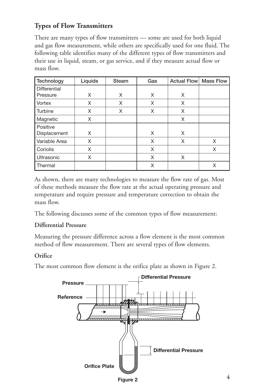# **Types of Flow Transmitters**

There are many types of flow transmitters — some are used for both liquid and gas flow measurement, while others are specifically used for one fluid. The following table identifies many of the different types of flow transmitters and their use in liquid, steam, or gas service, and if they measure actual flow or mass flow.

| Technology    | Liquids | Steam | Gas | <b>Actual Flow</b> | <b>Mass Flow</b> |
|---------------|---------|-------|-----|--------------------|------------------|
| Differential  |         |       |     |                    |                  |
| Pressure      | X       | X     | X   | X                  |                  |
| Vortex        | X       | X     | X   | X                  |                  |
| Turbine       | X       | X     | X   | X                  |                  |
| Magnetic      | X       |       |     | X                  |                  |
| Positive      |         |       |     |                    |                  |
| Displacement  | X       |       | X   | X                  |                  |
| Variable Area | X       |       | X   | X                  | X                |
| Coriolis      | X       |       | X   |                    | X                |
| Ultrasonic    | X       |       | X   | X                  |                  |
| Thermal       |         |       | X   |                    | X                |

As shown, there are many technologies to measure the flow rate of gas. Most of these methods measure the flow rate at the actual operating pressure and temperature and require pressure and temperature correction to obtain the mass flow.

The following discusses some of the common types of flow measurement:

#### **Differential Pressure**

Measuring the pressure difference across a flow element is the most common method of flow measurement. There are several types of flow elements.

#### **Orifice**

The most common flow element is the orifice plate as shown in Figure 2.



**Figure 2**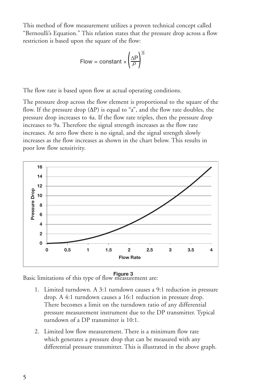This method of flow measurement utilizes a proven technical concept called "Bernoulli's Equation." This relation states that the pressure drop across a flow restriction is based upon the square of the flow:

Flow = constant 
$$
\times \left(\frac{\Delta P}{\rho}\right)^{\frac{1}{2}}
$$

The flow rate is based upon flow at actual operating conditions.

The pressure drop across the flow element is proportional to the square of the flow. If the pressure drop  $(\Delta P)$  is equal to "a", and the flow rate doubles, the pressure drop increases to 4a. If the flow rate triples, then the pressure drop increases to 9a. Therefore the signal strength increases as the flow rate increases. At zero flow there is no signal, and the signal strength slowly increases as the flow increases as shown in the chart below. This results in poor low flow sensitivity.



Basic limitations of this type of flow measurement are: **Figure 3**

- 1. Limited turndown. A 3:1 turndown causes a 9:1 reduction in pressure drop. A 4:1 turndown causes a 16:1 reduction in pressure drop. There becomes a limit on the turndown ratio of any differential pressure measurement instrument due to the DP transmitter. Typical turndown of a DP transmitter is 10:1.
- 2. Limited low flow measurement. There is a minimum flow rate which generates a pressure drop that can be measured with any differential pressure transmitter. This is illustrated in the above graph.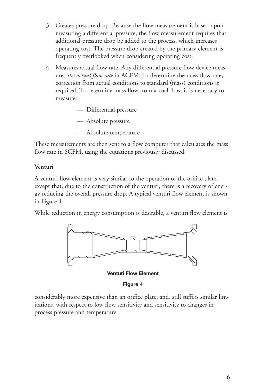- 3. Creates pressure drop. Because the flow measurement is based upon measuring a differential pressure, the flow measurement requires that additional pressure drop be added to the process, which increases operating cost. The pressure drop created by the primary element is frequently overlooked when considering operating cost.
- 4. Measures actual flow rate. Any differential pressure flow device measures *the actual flow rate* in ACFM. To determine the mass flow rate, correction from actual conditions to standard (mass) conditions is required. To determine mass flow from actual flow, it is necessary to measure:
	- Differential pressure
	- Absolute pressure
	- Absolute temperature

These measurements are then sent to a flow computer that calculates the mass flow rate in SCFM, using the equations previously discussed.

#### **Venturi**

A venturi flow element is very similar to the operation of the orifice plate, except that, due to the construction of the venturi, there is a recovery of energy reducing the overall pressure drop. A typical venturi flow element is shown in Figure 4.

While reduction in energy consumption is desirable, a venturi flow element is



**Venturi Flow Element**

**Figure 4**

considerably more expensive than an orifice plate; and, still suffers similar limitations, with respect to low flow sensitivity and sensitivity to changes in process pressure and temperature.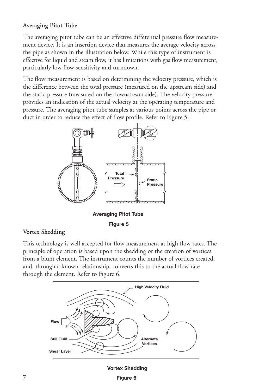#### **Averaging Pitot Tube**

The averaging pitot tube can be an effective differential pressure flow measurement device. It is an insertion device that measures the average velocity across the pipe as shown in the illustration below. While this type of instrument is effective for liquid and steam flow, it has limitations with gas flow measurement, particularly low flow sensitivity and turndown.

The flow measurement is based on determining the velocity pressure, which is the difference between the total pressure (measured on the upstream side) and the static pressure (measured on the downstream side). The velocity pressure provides an indication of the actual velocity at the operating temperature and pressure. The averaging pitot tube samples at various points across the pipe or duct in order to reduce the effect of flow profile. Refer to Figure 5.



**Figure 5**

#### **Vortex Shedding**

This technology is well accepted for flow measurement at high flow rates. The principle of operation is based upon the shedding or the creation of vortices from a blunt element. The instrument counts the number of vortices created; and, through a known relationship, converts this to the actual flow rate through the element. Refer to Figure 6.



**Vortex Shedding**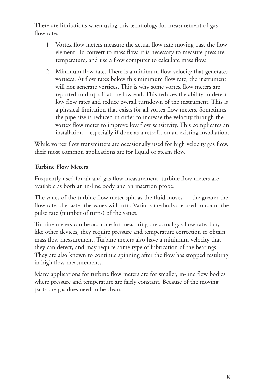There are limitations when using this technology for measurement of gas flow rates:

- 1. Vortex flow meters measure the actual flow rate moving past the flow element. To convert to mass flow, it is necessary to measure pressure, temperature, and use a flow computer to calculate mass flow.
- 2. Minimum flow rate. There is a minimum flow velocity that generates vortices. At flow rates below this minimum flow rate, the instrument will not generate vortices. This is why some vortex flow meters are reported to drop off at the low end. This reduces the ability to detect low flow rates and reduce overall turndown of the instrument. This is a physical limitation that exists for all vortex flow meters. Sometimes the pipe size is reduced in order to increase the velocity through the vortex flow meter to improve low flow sensitivity. This complicates an installation—especially if done as a retrofit on an existing installation.

While vortex flow transmitters are occasionally used for high velocity gas flow, their most common applications are for liquid or steam flow.

#### **Turbine Flow Meters**

Frequently used for air and gas flow measurement, turbine flow meters are available as both an in-line body and an insertion probe.

The vanes of the turbine flow meter spin as the fluid moves — the greater the flow rate, the faster the vanes will turn. Various methods are used to count the pulse rate (number of turns) of the vanes.

Turbine meters can be accurate for measuring the actual gas flow rate; but, like other devices, they require pressure and temperature correction to obtain mass flow measurement. Turbine meters also have a minimum velocity that they can detect, and may require some type of lubrication of the bearings. They are also known to continue spinning after the flow has stopped resulting in high flow measurements.

Many applications for turbine flow meters are for smaller, in-line flow bodies where pressure and temperature are fairly constant. Because of the moving parts the gas does need to be clean.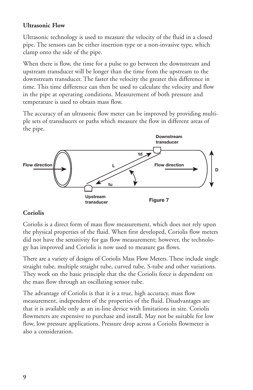#### **Ultrasonic Flow**

Ultrasonic technology is used to measure the velocity of the fluid in a closed pipe. The sensors can be either insertion type or a non-invasive type, which clamp onto the side of the pipe.

When there is flow, the time for a pulse to go between the downstream and upstream transducer will be longer than the time from the upstream to the downstream transducer. The faster the velocity the greater this difference in time. This time difference can then be used to calculate the velocity and flow in the pipe at operating conditions. Measurement of both pressure and temperature is used to obtain mass flow.

The accuracy of an ultrasonic flow meter can be improved by providing multiple sets of transducers or paths which measure the flow in different areas of the pipe.



#### **Coriolis**

Coriolis is a direct form of mass flow measurement, which does not rely upon the physical properties of the fluid. When first developed, Coriolis flow meters did not have the sensitivity for gas flow measurement; however, the technology has improved and Coriolis is now used to measure gas flows.

There are a variety of designs of Coriolis Mass Flow Meters. These include single straight tube, multiple straight tube, curved tube, S-tube and other variations. They work on the basic principle that the the Coriolis force is dependent on the mass flow through an oscillating sensor tube.

The advantage of Coriolis is that it is a true, high accuracy, mass flow measurement, independent of the properties of the fluid. Disadvantages are that it is available only as an in-line device with limitations in size. Coriolis flowmeters are expensive to purchase and install. May not be suitable for low flow, low pressure applications. Pressure drop across a Coriolis flowmeter is also a consideration.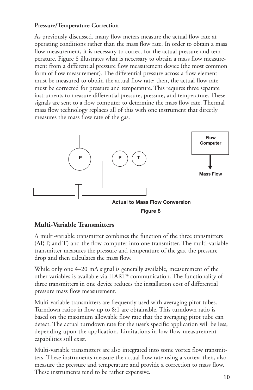#### **Pressure/Temperature Correction**

As previously discussed, many flow meters measure the actual flow rate at operating conditions rather than the mass flow rate. In order to obtain a mass flow measurement, it is necessary to correct for the actual pressure and temperature. Figure 8 illustrates what is necessary to obtain a mass flow measurement from a differential pressure flow measurement device (the most common form of flow measurement). The differential pressure across a flow element must be measured to obtain the actual flow rate; then, the actual flow rate must be corrected for pressure and temperature. This requires three separate instruments to measure differential pressure, pressure, and temperature. These signals are sent to a flow computer to determine the mass flow rate. Thermal mass flow technology replaces all of this with one instrument that directly measures the mass flow rate of the gas.



#### **Multi-Variable Transmitters**

A multi-variable transmitter combines the function of the three transmitters (ΔP, P, and T) and the flow computer into one transmitter. The multi-variable transmitter measures the pressure and temperature of the gas, the pressure drop and then calculates the mass flow.

While only one 4–20 mA signal is generally available, measurement of the other variables is available via HART® communication. The functionality of three transmitters in one device reduces the installation cost of differential pressure mass flow measurement.

Multi-variable transmitters are frequently used with averaging pitot tubes. Turndown ratios in flow up to 8:1 are obtainable. This turndown ratio is based on the maximum allowable flow rate that the averaging pitot tube can detect. The actual turndown rate for the user's specific application will be less, depending upon the application. Limitations in low flow measurement capabilities still exist.

Multi-variable transmitters are also integrated into some vortex flow transmitters. These instruments measure the actual flow rate using a vortex; then, also measure the pressure and temperature and provide a correction to mass flow. These instruments tend to be rather expensive.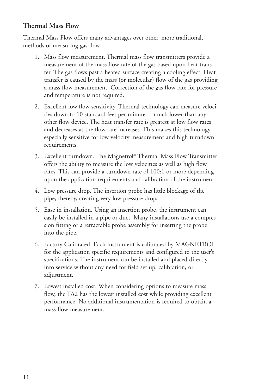#### **Thermal Mass Flow**

Thermal Mass Flow offers many advantages over other, more traditional, methods of measuring gas flow.

- 1. Mass flow measurement. Thermal mass flow transmitters provide a measurement of the mass flow rate of the gas based upon heat transfer. The gas flows past a heated surface creating a cooling effect. Heat transfer is caused by the mass (or molecular) flow of the gas providing a mass flow measurement. Correction of the gas flow rate for pressure and temperature is not required.
- 2. Excellent low flow sensitivity. Thermal technology can measure velocities down to 10 standard feet per minute —much lower than any other flow device. The heat transfer rate is greatest at low flow rates and decreases as the flow rate increases. This makes this technology especially sensitive for low velocity measurement and high turndown requirements.
- 3. Excellent turndown. The Magnetrol ® Thermal Mass Flow Transmitter offers the ability to measure the low velocities as well as high flow rates. This can provide a turndown rate of 100:1 or more depending upon the application requirements and calibration of the instrument.
- 4. Low pressure drop. The insertion probe has little blockage of the pipe, thereby, creating very low pressure drops.
- 5. Ease in installation. Using an insertion probe, the instrument can easily be installed in a pipe or duct. Many installations use a compression fitting or a retractable probe assembly for inserting the probe into the pipe.
- 6. Factory Calibrated. Each instrument is calibrated by MAGNETROL for the application specific requirements and configured to the user's specifications. The instrument can be installed and placed directly into service without any need for field set up, calibration, or adjustment.
- 7. Lowest installed cost. When considering options to measure mass flow, the TA2 has the lowest installed cost while providing excellent performance. No additional instrumentation is required to obtain a mass flow measurement.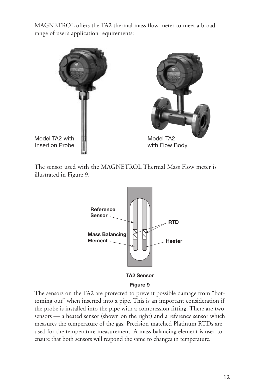MAGNETROL offers the TA2 thermal mass flow meter to meet a broad range of user's application requirements:



The sensor used with the MAGNETROL Thermal Mass Flow meter is illustrated in Figure 9.



**TA2 Sensor**

#### **Figure 9**

The sensors on the TA2 are protected to prevent possible damage from "bottoming out" when inserted into a pipe. This is an important consideration if the probe is installed into the pipe with a compression fitting. There are two sensors — a heated sensor (shown on the right) and a reference sensor which measures the temperature of the gas. Precision matched Platinum RTDs are used for the temperature measurement. A mass balancing element is used to ensure that both sensors will respond the same to changes in temperature.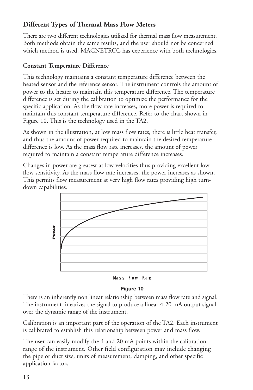# **Different Types of Thermal Mass Flow Meters**

There are two different technologies utilized for thermal mass flow measurement. Both methods obtain the same results, and the user should not be concerned which method is used. MAGNETROL has experience with both technologies.

#### **Constant Temperature Difference**

This technology maintains a constant temperature difference between the heated sensor and the reference sensor. The instrument controls the amount of power to the heater to maintain this temperature difference. The temperature difference is set during the calibration to optimize the performance for the specific application. As the flow rate increases, more power is required to maintain this constant temperature difference. Refer to the chart shown in Figure 10. This is the technology used in the TA2.

As shown in the illustration, at low mass flow rates, there is little heat transfer, and thus the amount of power required to maintain the desired temperature difference is low. As the mass flow rate increases, the amount of power required to maintain a constant temperature difference increases.

Changes in power are greatest at low velocities thus providing excellent low flow sensitivity. As the mass flow rate increases, the power increases as shown. This permits flow measurement at very high flow rates providing high turndown capabilities.



**Mass Flow Rate**

#### **Figure 10**

There is an inherently non linear relationship between mass flow rate and signal. The instrument linearizes the signal to produce a linear 4-20 mA output signal over the dynamic range of the instrument.

Calibration is an important part of the operation of the TA2. Each instrument is calibrated to establish this relationship between power and mass flow.

The user can easily modify the 4 and 20 mA points within the calibration range of the instrument. Other field configuration may include changing the pipe or duct size, units of measurement, damping, and other specific application factors.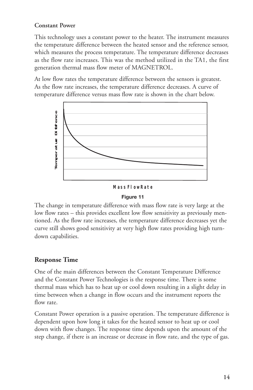#### **Constant Power**

This technology uses a constant power to the heater. The instrument measures the temperature difference between the heated sensor and the reference sensor, which measures the process temperature. The temperature difference decreases as the flow rate increases. This was the method utilized in the TA1, the first generation thermal mass flow meter of MAGNETROL.

At low flow rates the temperature difference between the sensors is greatest. As the flow rate increases, the temperature difference decreases. A curve of temperature difference versus mass flow rate is shown in the chart below.



#### **M ass Flow R ate**

#### **Figure 11**

The change in temperature difference with mass flow rate is very large at the low flow rates – this provides excellent low flow sensitivity as previously mentioned. As the flow rate increases, the temperature difference decreases yet the curve still shows good sensitivity at very high flow rates providing high turndown capabilities.

#### **Response Time**

One of the main differences between the Constant Temperature Difference and the Constant Power Technologies is the response time. There is some thermal mass which has to heat up or cool down resulting in a slight delay in time between when a change in flow occurs and the instrument reports the flow rate.

Constant Power operation is a passive operation. The temperature difference is dependent upon how long it takes for the heated sensor to heat up or cool down with flow changes. The response time depends upon the amount of the step change, if there is an increase or decrease in flow rate, and the type of gas.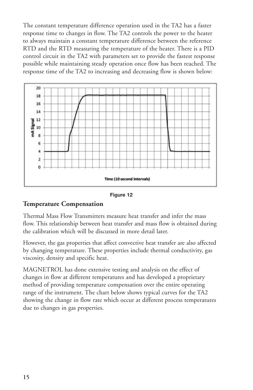The constant temperature difference operation used in the TA2 has a faster response time to changes in flow. The TA2 controls the power to the heater to always maintain a constant temperature difference between the reference RTD and the RTD measuring the temperature of the heater. There is a PID control circuit in the TA2 with parameters set to provide the fastest response possible while maintaining steady operation once flow has been reached. The response time of the TA2 to increasing and decreasing flow is shown below:



**Figure 12**

#### **Temperature Compensation**

Thermal Mass Flow Transmitters measure heat transfer and infer the mass flow. This relationship between heat transfer and mass flow is obtained during the calibration which will be discussed in more detail later.

However, the gas properties that affect convective heat transfer are also affected by changing temperature. These properties include thermal conductivity, gas viscosity, density and specific heat.

MAGNETROL has done extensive testing and analysis on the effect of changes in flow at different temperatures and has developed a proprietary method of providing temperature compensation over the entire operating range of the instrument. The chart below shows typical curves for the TA2 showing the change in flow rate which occur at different process temperatures due to changes in gas properties.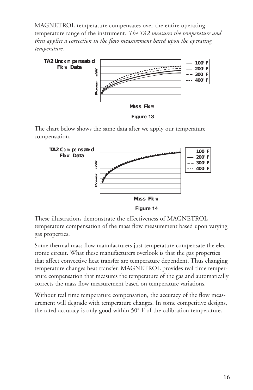MAGNETROL temperature compensates over the entire operating temperature range of the instrument. *The TA2 measures the temperature and then applies a correction in the flow measurement based upon the operating temperature.*



The chart below shows the same data after we apply our temperature compensation.



**Figure 14**

These illustrations demonstrate the effectiveness of MAGNETROL temperature compensation of the mass flow measurement based upon varying gas properties.

Some thermal mass flow manufacturers just temperature compensate the electronic circuit. What these manufacturers overlook is that the gas properties that affect convective heat transfer are temperature dependent. Thus changing temperature changes heat transfer. MAGNETROL provides real time temperature compensation that measures the temperature of the gas and automatically corrects the mass flow measurement based on temperature variations.

Without real time temperature compensation, the accuracy of the flow measurement will degrade with temperature changes. In some competitive designs, the rated accuracy is only good within 50° F of the calibration temperature.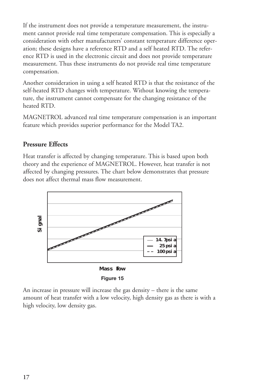If the instrument does not provide a temperature measurement, the instrument cannot provide real time temperature compensation. This is especially a consideration with other manufacturers' constant temperature difference operation; these designs have a reference RTD and a self heated RTD. The reference RTD is used in the electronic circuit and does not provide temperature measurement. Thus these instruments do not provide real time temperature compensation.

Another consideration in using a self heated RTD is that the resistance of the self-heated RTD changes with temperature. Without knowing the temperature, the instrument cannot compensate for the changing resistance of the heated RTD.

MAGNETROL advanced real time temperature compensation is an important feature which provides superior performance for the Model TA2.

#### **Pressure Effects**

high velocity, low density gas.

Heat transfer is affected by changing temperature. This is based upon both theory and the experience of MAGNETROL. However, heat transfer is not affected by changing pressures. The chart below demonstrates that pressure does not affect thermal mass flow measurement.



An increase in pressure will increase the gas density – there is the same amount of heat transfer with a low velocity, high density gas as there is with a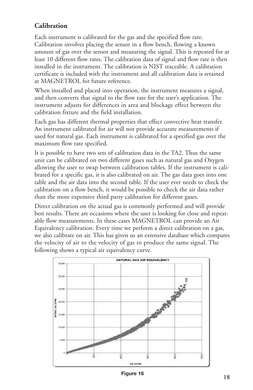# **Calibration**

Each instrument is calibrated for the gas and the specified flow rate. Calibration involves placing the sensor in a flow bench, flowing a known amount of gas over the sensor and measuring the signal. This is repeated for at least 10 different flow rates. The calibration data of signal and flow rate is then installed in the instrument. The calibration is NIST traceable. A calibration certificate is included with the instrument and all calibration data is retained at MAGNETROL for future reference.

When installed and placed into operation, the instrument measures a signal, and then converts that signal to the flow rate for the user's application. The instrument adjusts for differences in area and blockage effect between the calibration fixture and the field installation.

Each gas has different thermal properties that effect convective heat transfer. An instrument calibrated for air will not provide accurate measurements if used for natural gas. Each instrument is calibrated for a specified gas over the maximum flow rate specified.

It is possible to have two sets of calibration data in the TA2. Thus the same unit can be calibrated on two different gases such as natural gas and Oxygen allowing the user to swap between calibration tables. If the instrument is calibrated for a specific gas, it is also calibrated on air. The gas data goes into one table and the air data into the second table. If the user ever needs to check the calibration on a flow bench, it would be possible to check the air data rather than the more expensive third party calibration for different gases.

Direct calibration on the actual gas is commonly performed and will provide best results. There are occasions where the user is looking for close and repeatable flow measurements. In these cases MAGNETROL can provide an Air Equivalency calibration. Every time we perform a direct calibration on a gas, we also calibrate on air. This has given us an extensive database which compares the velocity of air to the velocity of gas to produce the same signal. The following shows a typical air equivalency curve.



**Figure 16**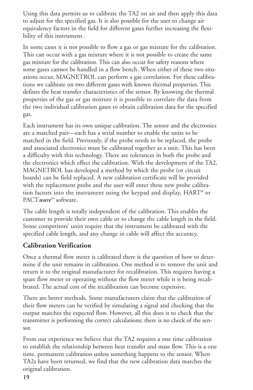Using this data permits us to calibrate the TA2 on air and then apply this data to adjust for the specified gas. It is also possible for the user to change air equivalency factors in the field for different gases further increasing the flexibility of this instrument.

In some cases it is not possible to flow a gas or gas mixture for the calibration. This can occur with a gas mixture where it is not possible to create the same gas mixture for the calibration. This can also occur for safety reasons where some gases cannot be handled in a flow bench. When either of these two situations occur, MAGNETROL can perform a gas correlation. For these calibrations we calibrate on two different gases with known thermal properties. This defines the heat transfer characteristics of the sensor. By knowing the thermal properties of the gas or gas mixture it is possible to correlate the data from the two individual calibration gases to obtain calibration data for the specified gas.

Each instrument has its own unique calibration. The sensor and the electronics are a matched pair—each has a serial number to enable the units to be matched in the field. Previously, if the probe needs to be replaced, the probe and associated electronics must be calibrated together as a unit. This has been a difficulty with this technology. There are tolerances in both the probe and the electronics which effect the calibration. With the development of the TA2, MAGNETROL has developed a method by which the probe (or circuit boards) can be field replaced. A new calibration certificate will be provided with the replacement probe and the user will enter these new probe calibration factors into the instrument using the keypad and display, HART® or PACT*ware™* software.

The cable length is totally independent of the calibration. This enables the customer to provide their own cable or to change the cable length in the field. Some competitors' units require that the instrument be calibrated with the specified cable length, and any change in cable will affect the accuracy.

#### **Calibration Verification**

Once a thermal flow meter is calibrated there is the question of how to determine if the unit remains in calibration. One method is to remove the unit and return it to the original manufacturer for recalibration. This requires having a spare flow meter or operating without the flow meter while it is being recalibrated. The actual cost of the recalibration can become expensive.

There are better methods. Some manufacturers claim that the calibration of their flow meters can be verified by simulating a signal and checking that the output matches the expected flow. However, all this does is to check that the transmitter is performing the correct calculations; there is no check of the sensor.

From our experience we believe that the TA2 requires a one time calibration to establish the relationship between heat transfer and mass flow. This is a one time, permanent calibration unless something happens to the sensor. When TA2s have been returned, we find that the new calibration data matches the original calibration.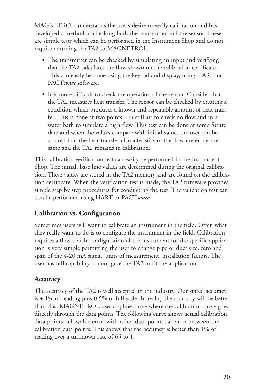MAGNETROL understands the user's desire to verify calibration and has developed a method of checking both the transmitter and the sensor. These are simple tests which can be performed in the Instrument Shop and do not require returning the TA2 to MAGNETROL.

- The transmitter can be checked by simulating an input and verifying that the TA2 calculates the flow shown on the calibration certificate. This can easily be done using the keypad and display, using HART, or PACT*ware* software.
- It is more difficult to check the operation of the sensor. Consider that the TA2 measures heat transfer. The sensor can be checked by creating a condition which produces a known and repeatable amount of heat transfer. This is done at two points—in still air to check no flow and in a water bath to simulate a high flow. This test can be done at some future date and when the values compare with initial values the user can be assured that the heat transfer characteristics of the flow meter are the same and the TA2 remains in calibration.

This calibration verification test can easily be performed in the Instrument Shop. The initial, base line values are determined during the original calibration. These values are stored in the TA2 memory and are found on the calibration certificate. When the verification test is made, the TA2 firmware provides simple step by step procedures for conducting the test. The validation test can also be performed using HART or PACT*ware*.

# **Calibration vs. Configuration**

Sometimes users will want to calibrate an instrument in the field. Often what they really want to do is to configure the instrument in the field. Calibration requires a flow bench; configuration of the instrument for the specific application is very simple permitting the user to change pipe or duct size, zero and span of the 4-20 mA signal, units of measurement, installation factors. The user has full capability to configure the TA2 to fit the application.

#### **Accuracy**

The accuracy of the TA2 is well accepted in the industry. Our stated accuracy is  $\pm$  1% of reading plus 0.5% of full scale. In reality the accuracy will be better than this. MAGNETROL uses a spline curve where the calibration curve goes directly through the data points. The following curve shows actual calibration data points, allowable error with other data points taken in between the calibration data points. This shows that the accuracy is better than 1% of reading over a turndown rate of 65 to 1.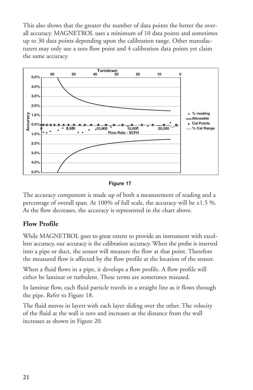This also shows that the greater the number of data points the better the overall accuracy. MAGNETROL uses a minimum of 10 data points and sometimes up to 30 data points depending upon the calibration range. Other manufacturers may only use a zero flow point and 4 calibration data points yet claim the same accuracy.



**Figure 17**

The accuracy component is made up of both a measurement of reading and a percentage of overall span. At 100% of full scale, the accuracy will be  $\pm 1.5$  %. As the flow decreases, the accuracy is represented in the chart above.

# **Flow Profile**

While MAGNETROL goes to great extent to provide an instrument with excellent accuracy, our accuracy is the calibration accuracy. When the probe is inserted into a pipe or duct, the sensor will measure the flow at that point. Therefore the measured flow is affected by the flow profile at the location of the sensor.

When a fluid flows in a pipe, it develops a flow profile. A flow profile will either be laminar or turbulent. These terms are sometimes misused.

In laminar flow, each fluid particle travels in a straight line as it flows through the pipe. Refer to Figure 18.

The fluid moves in layers with each layer sliding over the other. The velocity of the fluid at the wall is zero and increases as the distance from the wall increases as shown in Figure 20.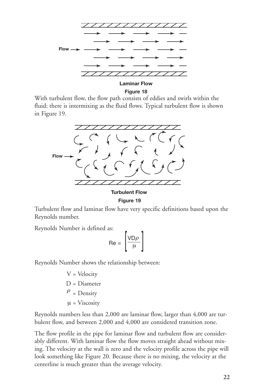

**Figure 18**

With turbulent flow, the flow path consists of eddies and swirls within the fluid; there is intermixing as the fluid flows. Typical turbulent flow is shown in Figure 19.



**Turbulent Flow Figure 19**

Turbulent flow and laminar flow have very specific definitions based upon the Reynolds number.

Reynolds Number is defined as:

$$
\mathsf{Re} = \left[\frac{\mathsf{VD}\rho}{\mu}\right]
$$

Reynolds Number shows the relationship between:

V = Velocity D = Diameter  $\frac{\rho}{\rho}$  = Density  $\mu$  = Viscosity

Reynolds numbers less than 2,000 are laminar flow, larger than 4,000 are turbulent flow, and between 2,000 and 4,000 are considered transition zone.

The flow profile in the pipe for laminar flow and turbulent flow are considerably different. With laminar flow the flow moves straight ahead without mixing. The velocity at the wall is zero and the velocity profile across the pipe will look something like Figure 20. Because there is no mixing, the velocity at the centerline is much greater than the average velocity.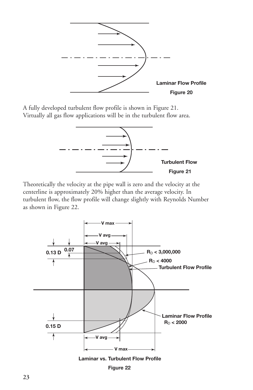

A fully developed turbulent flow profile is shown in Figure 21. Virtually all gas flow applications will be in the turbulent flow area.



Theoretically the velocity at the pipe wall is zero and the velocity at the centerline is approximately 20% higher than the average velocity. In turbulent flow, the flow profile will change slightly with Reynolds Number as shown in Figure 22.





**Figure 22**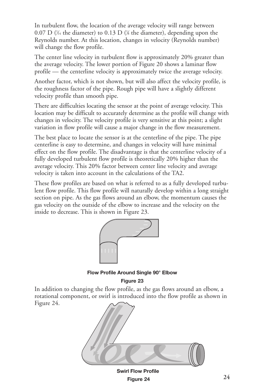In turbulent flow, the location of the average velocity will range between 0.07 D (¼ the diameter) to 0.13 D (¼ the diameter), depending upon the Reynolds number. At this location, changes in velocity (Reynolds number) will change the flow profile.

The center line velocity in turbulent flow is approximately 20% greater than the average velocity. The lower portion of Figure 20 shows a laminar flow profile — the centerline velocity is approximately twice the average velocity.

Another factor, which is not shown, but will also affect the velocity profile, is the roughness factor of the pipe. Rough pipe will have a slightly different velocity profile than smooth pipe.

There are difficulties locating the sensor at the point of average velocity. This location may be difficult to accurately determine as the profile will change with changes in velocity. The velocity profile is very sensitive at this point; a slight variation in flow profile will cause a major change in the flow measurement.

The best place to locate the sensor is at the centerline of the pipe. The pipe centerline is easy to determine, and changes in velocity will have minimal effect on the flow profile. The disadvantage is that the centerline velocity of a fully developed turbulent flow profile is theoretically 20% higher than the average velocity. This 20% factor between center line velocity and average velocity is taken into account in the calculations of the TA2.

These flow profiles are based on what is referred to as a fully developed turbulent flow profile. This flow profile will naturally develop within a long straight section on pipe. As the gas flows around an elbow, the momentum causes the gas velocity on the outside of the elbow to increase and the velocity on the inside to decrease. This is shown in Figure 23.



**Flow Profile Around Single 90° Elbow**

**Figure 23**

In addition to changing the flow profile, as the gas flows around an elbow, a rotational component, or swirl is introduced into the flow profile as shown in Figure 24.



**Swirl Flow Profile Figure 24**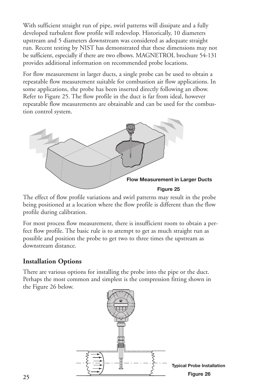With sufficient straight run of pipe, swirl patterns will dissipate and a fully developed turbulent flow profile will redevelop. Historically, 10 diameters upstream and 5 diameters downstream was considered as adequate straight run. Recent testing by NIST has demonstrated that these dimensions may not be sufficient, especially if there are two elbows. MAGNETROL brochure 54-131 provides additional information on recommended probe locations.

For flow measurement in larger ducts, a single probe can be used to obtain a repeatable flow measurement suitable for combustion air flow applications. In some applications, the probe has been inserted directly following an elbow. Refer to Figure 25. The flow profile in the duct is far from ideal, however repeatable flow measurements are obtainable and can be used for the combustion control system.



The effect of flow profile variations and swirl patterns may result in the probe being positioned at a location where the flow profile is different than the flow profile during calibration.

For most process flow measurement, there is insufficient room to obtain a perfect flow profile. The basic rule is to attempt to get as much straight run as possible and position the probe to get two to three times the upstream as downstream distance.

#### **Installation Options**

There are various options for installing the probe into the pipe or the duct. Perhaps the most common and simplest is the compression fitting shown in the Figure 26 below.

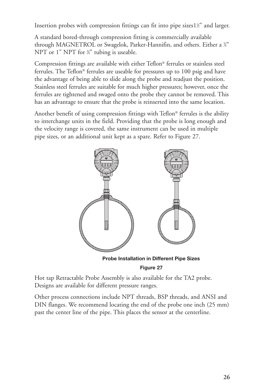Insertion probes with compression fittings can fit into pipe sizes1½" and larger.

A standard bored-through compression fitting is commercially available through MAGNETROL or Swagelok, Parker-Hannifin, and others. Either a ¾" NPT or 1" NPT for <sup>3</sup>/4" tubing is useable.

Compression fittings are available with either Teflon® ferrules or stainless steel ferrules. The Teflon® ferrules are useable for pressures up to 100 psig and have the advantage of being able to slide along the probe and readjust the position. Stainless steel ferrules are suitable for much higher pressures; however, once the ferrules are tightened and swaged onto the probe they cannot be removed. This has an advantage to ensure that the probe is reinserted into the same location.

Another benefit of using compression fittings with Teflon® ferrules is the ability to interchange units in the field. Providing that the probe is long enough and the velocity range is covered, the same instrument can be used in multiple pipe sizes, or an additional unit kept as a spare. Refer to Figure 27.



**Figure 27**

Hot tap Retractable Probe Assembly is also available for the TA2 probe. Designs are available for different pressure ranges.

Other process connections include NPT threads, BSP threads, and ANSI and DIN flanges. We recommend locating the end of the probe one inch (25 mm) past the center line of the pipe. This places the sensor at the centerline.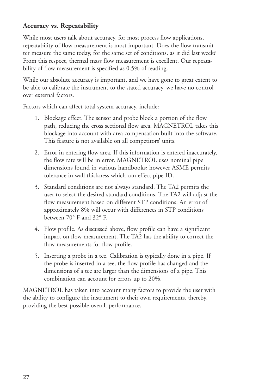# **Accuracy vs. Repeatability**

While most users talk about accuracy, for most process flow applications, repeatability of flow measurement is most important. Does the flow transmitter measure the same today, for the same set of conditions, as it did last week? From this respect, thermal mass flow measurement is excellent. Our repeatability of flow measurement is specified as 0.5% of reading.

While our absolute accuracy is important, and we have gone to great extent to be able to calibrate the instrument to the stated accuracy, we have no control over external factors.

Factors which can affect total system accuracy, include:

- 1. Blockage effect. The sensor and probe block a portion of the flow path, reducing the cross sectional flow area. MAGNETROL takes this blockage into account with area compensation built into the software. This feature is not available on all competitors' units.
- 2. Error in entering flow area. If this information is entered inaccurately, the flow rate will be in error. MAGNETROL uses nominal pipe dimensions found in various handbooks; however ASME permits tolerance in wall thickness which can effect pipe ID.
- 3. Standard conditions are not always standard. The TA2 permits the user to select the desired standard conditions. The TA2 will adjust the flow measurement based on different STP conditions. An error of approximately 8% will occur with differences in STP conditions between 70° F and 32° F.
- 4. Flow profile. As discussed above, flow profile can have a significant impact on flow measurement. The TA2 has the ability to correct the flow measurements for flow profile.
- 5. Inserting a probe in a tee. Calibration is typically done in a pipe. If the probe is inserted in a tee, the flow profile has changed and the dimensions of a tee are larger than the dimensions of a pipe. This combination can account for errors up to 20%.

MAGNETROL has taken into account many factors to provide the user with the ability to configure the instrument to their own requirements, thereby, providing the best possible overall performance.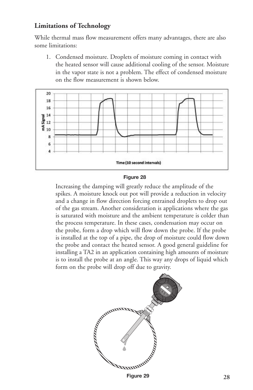### **Limitations of Technology**

While thermal mass flow measurement offers many advantages, there are also some limitations:

1. Condensed moisture. Droplets of moisture coming in contact with the heated sensor will cause additional cooling of the sensor. Moisture in the vapor state is not a problem. The effect of condensed moisture on the flow measurement is shown below.



#### **Figure 28**

Increasing the damping will greatly reduce the amplitude of the spikes. A moisture knock out pot will provide a reduction in velocity and a change in flow direction forcing entrained droplets to drop out of the gas stream. Another consideration is applications where the gas is saturated with moisture and the ambient temperature is colder than the process temperature. In these cases, condensation may occur on the probe, form a drop which will flow down the probe. If the probe is installed at the top of a pipe, the drop of moisture could flow down the probe and contact the heated sensor. A good general guideline for installing a TA2 in an application containing high amounts of moisture is to install the probe at an angle. This way any drops of liquid which form on the probe will drop off due to gravity.



**Figure 29**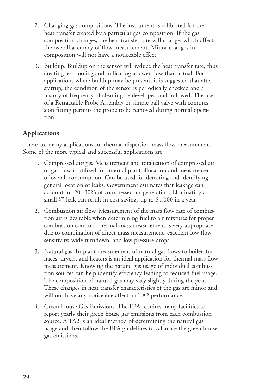- 2. Changing gas compositions. The instrument is calibrated for the heat transfer created by a particular gas composition. If the gas composition changes, the heat transfer rate will change, which affects the overall accuracy of flow measurement. Minor changes in composition will not have a noticeable effect.
- 3. Buildup. Buildup on the sensor will reduce the heat transfer rate, thus creating less cooling and indicating a lower flow than actual. For applications where buildup may be present, it is suggested that after startup, the condition of the sensor is periodically checked and a history of frequency of cleaning be developed and followed. The use of a Retractable Probe Assembly or simple ball valve with compression fitting permits the probe to be removed during normal operation.

# **Applications**

There are many applications for thermal dispersion mass flow measurement. Some of the more typical and successful applications are:

- 1. Compressed air/gas. Measurement and totalization of compressed air or gas flow is utilized for internal plant allocation and measurement of overall consumption. Can be used for detecting and identifying general location of leaks. Government estimates that leakage can account for 20–30% of compressed air generation. Eliminating a small <sup>1</sup> ⁄4" leak can result in cost savings up to \$4,000 in a year.
- 2. Combustion air flow. Measurement of the mass flow rate of combustion air is desirable when determining fuel to air mixtures for proper combustion control. Thermal mass measurement is very appropriate due to combination of direct mass measurement, excellent low flow sensitivity, wide turndown, and low pressure drops.
- 3. Natural gas. In-plant measurement of natural gas flows to boiler, furnaces, dryers, and heaters is an ideal application for thermal mass flow measurement. Knowing the natural gas usage of individual combustion sources can help identify efficiency leading to reduced fuel usage. The composition of natural gas may vary slightly during the year. These changes in heat transfer characteristics of the gas are minor and will not have any noticeable affect on TA2 performance.
- 4. Green House Gas Emissions. The EPA requires many facilities to report yearly their green house gas emissions from each combustion source. A TA2 is an ideal method of determining the natural gas usage and then follow the EPA guidelines to calculate the green house gas emissions.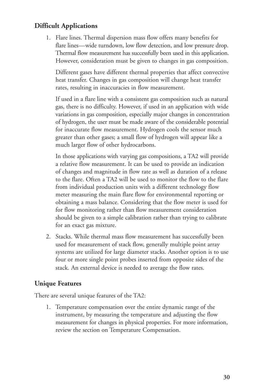# **Difficult Applications**

1. Flare lines. Thermal dispersion mass flow offers many benefits for flare lines—wide turndown, low flow detection, and low pressure drop. Thermal flow measurement has successfully been used in this application. However, consideration must be given to changes in gas composition.

Different gases have different thermal properties that affect convective heat transfer. Changes in gas composition will change heat transfer rates, resulting in inaccuracies in flow measurement.

If used in a flare line with a consistent gas composition such as natural gas, there is no difficulty. However, if used in an application with wide variations in gas composition, especially major changes in concentration of hydrogen, the user must be made aware of the considerable potential for inaccurate flow measurement. Hydrogen cools the sensor much greater than other gases; a small flow of hydrogen will appear like a much larger flow of other hydrocarbons.

In those applications with varying gas compositions, a TA2 will provide a relative flow measurement. It can be used to provide an indication of changes and magnitude in flow rate as well as duration of a release to the flare. Often a TA2 will be used to monitor the flow to the flare from individual production units with a different technology flow meter measuring the main flare flow for environmental reporting or obtaining a mass balance. Considering that the flow meter is used for for flow monitoring rather than flow measurement consideration should be given to a simple calibration rather than trying to calibrate for an exact gas mixture.

2. Stacks. While thermal mass flow measurement has successfully been used for measurement of stack flow, generally multiple point array systems are utilized for large diameter stacks. Another option is to use four or more single point probes inserted from opposite sides of the stack. An external device is needed to average the flow rates.

# **Unique Features**

There are several unique features of the TA2:

1. Temperature compensation over the entire dynamic range of the instrument, by measuring the temperature and adjusting the flow measurement for changes in physical properties. For more information, review the section on Temperature Compensation.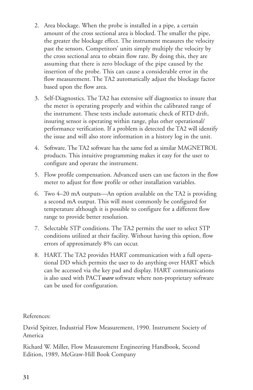- 2. Area blockage. When the probe is installed in a pipe, a certain amount of the cross sectional area is blocked. The smaller the pipe, the greater the blockage effect. The instrument measures the velocity past the sensors. Competitors' units simply multiply the velocity by the cross sectional area to obtain flow rate. By doing this, they are assuming that there is zero blockage of the pipe caused by the insertion of the probe. This can cause a considerable error in the flow measurement. The TA2 automatically adjust the blockage factor based upon the flow area.
- 3. Self-Diagnostics. The TA2 has extensive self diagnostics to insure that the meter is operating properly and within the calibrated range of the instrument. These tests include automatic check of RTD drift, insuring sensor is operating within range, plus other operational/ performance verification. If a problem is detected the TA2 will identify the issue and will also store information in a history log in the unit.
- 4. Software. The TA2 software has the same feel as similar MAGNETROL products. This intuitive programming makes it easy for the user to configure and operate the instrument.
- 5. Flow profile compensation. Advanced users can use factors in the flow meter to adjust for flow profile or other installation variables.
- 6. Two 4–20 mA outputs—An option available on the TA2 is providing a second mA output. This will most commonly be configured for temperature although it is possible to configure for a different flow range to provide better resolution.
- 7. Selectable STP conditions. The TA2 permits the user to select STP conditions utilized at their facility. Without having this option, flow errors of approximately 8% can occur.
- 8. HART. The TA2 provides HART communication with a full operational DD which permits the user to do anything over HART which can be accessed via the key pad and display. HART communications is also used with PACT*ware* software where non-proprietary software can be used for configuration.

References:

David Spitzer, Industrial Flow Measurement, 1990. Instrument Society of America

Richard W. Miller, Flow Measurement Engineering Handbook, Second Edition, 1989, McGraw-Hill Book Company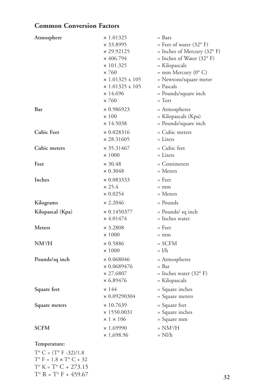# **Common Conversion Factors**

T° C =  $(T^{\circ}$  F -32)/1.8  $T^{\circ}$  F = 1.8  $\times$  T° C + 32  $T^{\circ}$  K =  $T^{\circ}$  C + 273.15 T° R = T° F + 459.67

| Atmosphere        | $\times$ 1.01325<br>$\times$ 33.8995<br>$\times$ 29.92125<br>$\times$ 406.794<br>$\times$ 101.325<br>$\times 760$<br>$\times$ 1.01325 x 105<br>$\times$ 1.01325 x 105<br>$\times$ 14.696<br>$\times 760$ | = Bars<br>= Feet of water $(32^{\circ} \text{ F})$<br>$=$ Inches of Mercury (32 $\textdegree$ F)<br>= Inches of Water $(32^{\circ} \text{ F})$<br>= Kilopascals<br>$=$ mm Mercury (0 $^{\circ}$ C)<br>= Newtons/square meter<br>= Pascals<br>= Pounds/square inch<br>$= Torr$ |
|-------------------|----------------------------------------------------------------------------------------------------------------------------------------------------------------------------------------------------------|-------------------------------------------------------------------------------------------------------------------------------------------------------------------------------------------------------------------------------------------------------------------------------|
| Bar               | $\times$ 0.986923<br>$\times$ 100<br>$\times$ 14.5038                                                                                                                                                    | = Atmospheres<br>= Kilopascals (Kpa)<br>= Pounds/square inch                                                                                                                                                                                                                  |
| <b>Cubic Feet</b> | $\times$ 0.028316<br>$\times$ 28.31605                                                                                                                                                                   | = Cubic meters<br>$=$ Liters                                                                                                                                                                                                                                                  |
| Cubic meters      | $\times$ 35.31467<br>$\times 1000$                                                                                                                                                                       | = Cubic feet<br>$=$ Liters                                                                                                                                                                                                                                                    |
| Feet              | $\times$ 30.48<br>$\times 0.3048$                                                                                                                                                                        | = Centimeters<br>$=$ Meters                                                                                                                                                                                                                                                   |
| Inches            | $\times$ 0.083333<br>$\times$ 25.4<br>$\times 0.0254$                                                                                                                                                    | $=$ Feet<br>$=$ mm<br>$=$ Meters                                                                                                                                                                                                                                              |
| Kilograms         | $\times 2.2046$                                                                                                                                                                                          | = Pounds                                                                                                                                                                                                                                                                      |
| Kilopascal (Kpa)  | $\times$ 0.1450377<br>$\times$ 4.01474                                                                                                                                                                   | = Pounds/ sq inch<br>= Inches water                                                                                                                                                                                                                                           |
| <b>Meters</b>     | $\times$ 3.2808<br>$\times$ 1000                                                                                                                                                                         | $=$ Feet<br>$=$ mm                                                                                                                                                                                                                                                            |
| $NM^3/H$          | $\times 0.5886$<br>$\times$ 1000                                                                                                                                                                         | $=$ SCFM<br>$=$ $1/h$                                                                                                                                                                                                                                                         |
| Pounds/sq inch    | $\times 0.068046$<br>$\times$ 0.0689476<br>$\times$ 27.6807<br>$\times 6.89476$                                                                                                                          | = Atmospheres<br>= Bar<br>= Inches water $(32^{\circ} \text{ F})$<br>= Kilopascals                                                                                                                                                                                            |
| Square feet       | $\times$ 144<br>$\times$ 0.09290304                                                                                                                                                                      | = Square inches<br>= Square meters                                                                                                                                                                                                                                            |
| Square meters     | $\times$ 10.7639<br>$\times$ 1550.0031<br>$\times$ 1 $\times$ 106                                                                                                                                        | = Square feet<br>= Square inches<br>= Square mm                                                                                                                                                                                                                               |
| <b>SCFM</b>       | $\times$ 1.69990<br>$\times$ 1,698.96                                                                                                                                                                    | $= NM^3/H$<br>= Nl/h                                                                                                                                                                                                                                                          |
| Temperature:      |                                                                                                                                                                                                          |                                                                                                                                                                                                                                                                               |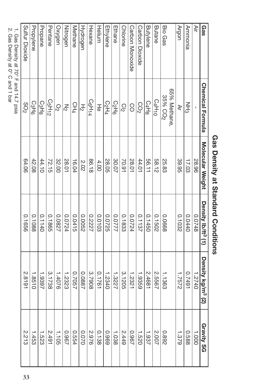| Gas                                   | <b>Chemical Formula</b>        | Molecular Weight | Density Ib/tt <sup>3</sup> (1) | Density kg/m <sup>3</sup> (2) | <b>Gravity SG</b>  |
|---------------------------------------|--------------------------------|------------------|--------------------------------|-------------------------------|--------------------|
| Äir                                   |                                | 28.96            | 0.0748                         | 07740                         | 1.000              |
| Annnonia                              | NH3                            | 17.03            | 0.0440                         | 16710                         | 889.0              |
| Argon                                 | Š                              | 39.95            | 0.1032                         | 1.7572                        | 1.379              |
|                                       | 65% Methane,                   |                  |                                |                               |                    |
| <b>Bio Gas</b>                        | 35% CO <sub>2</sub>            | 25.83            | 0.0668                         | 1.1363                        | 268.0              |
| Butane                                | C4H10                          | 58.12            | 0.1502                         | 2.5567                        | 2.007              |
| <b>Butylene</b>                       | C <sub>4</sub> H <sub>8</sub>  | 56.11            | 0.1450                         | 2.4681                        | 1.937              |
| Carbon Dioxide                        | CO <sub>2</sub>                | 44.01            | 0.1137                         | 1.9359                        | 1.520              |
| Carbon Monoxide                       | 8                              | 28.01            | 0.0724                         | 1.2321                        | 796.0              |
| <b>Chlorine</b>                       | $\frac{1}{2}$                  | 70.91            | 0.1833                         | 3.1205                        | 2.449              |
| Ethane                                | <b>C<sub>2H6</sub></b>         | 30.07            | //200                          | 1.3227                        | 1.038              |
| Ethylene                              | C <sub>2</sub> H <sub>4</sub>  | 28.05            | 0.0725                         | 1.2340                        | 6960               |
| Helium                                | 공                              | 4.00             | 0.0103                         | 0.1761                        | $rac{0.138}{1.38}$ |
| Hexane                                | C <sub>6</sub> H <sub>14</sub> | 86.18            | 0.2227                         | 3.7908                        | 2.976              |
| Hydrogen                              | 오                              | 202              | 0.0052                         | 7880.0                        | 070.0              |
| Methane                               | CH <sub>4</sub>                | 16.04            | 0.0415                         | 7057                          | 0.554              |
| Nitrogen                              | $\overline{\mathcal{S}}$       | 28.01            | 0.0724                         | 1.2323                        | 796.0              |
| Oxygen                                | Q2                             | 32.00            | 0.0827                         | $920+1$                       | $-1.105$           |
| Pentane                               | C <sub>5</sub> H <sub>12</sub> | 72.15            | 0.1865                         | 3.1738                        | 2.491              |
| Propane                               | C <sub>3</sub> H <sub>8</sub>  | 44.10            | 0:1140                         | 1.9397                        | 1.523              |
| Propylene                             | C <sub>3</sub> H <sub>6</sub>  | 42.08            | 0.1088                         | 1.8510                        | 1.453              |
| Sulfur Dioxide                        | 20 <sub>2</sub>                | 64.06            | 0.1656                         | 2.8191                        | 2.213              |
| 1. Gas Density at 70° F and 14.7 psia |                                |                  |                                |                               |                    |

# **Gas Density at Standard Conditions**

ب. Gas

Density  $\overline{\omega}$ 0° C

and 1 bar